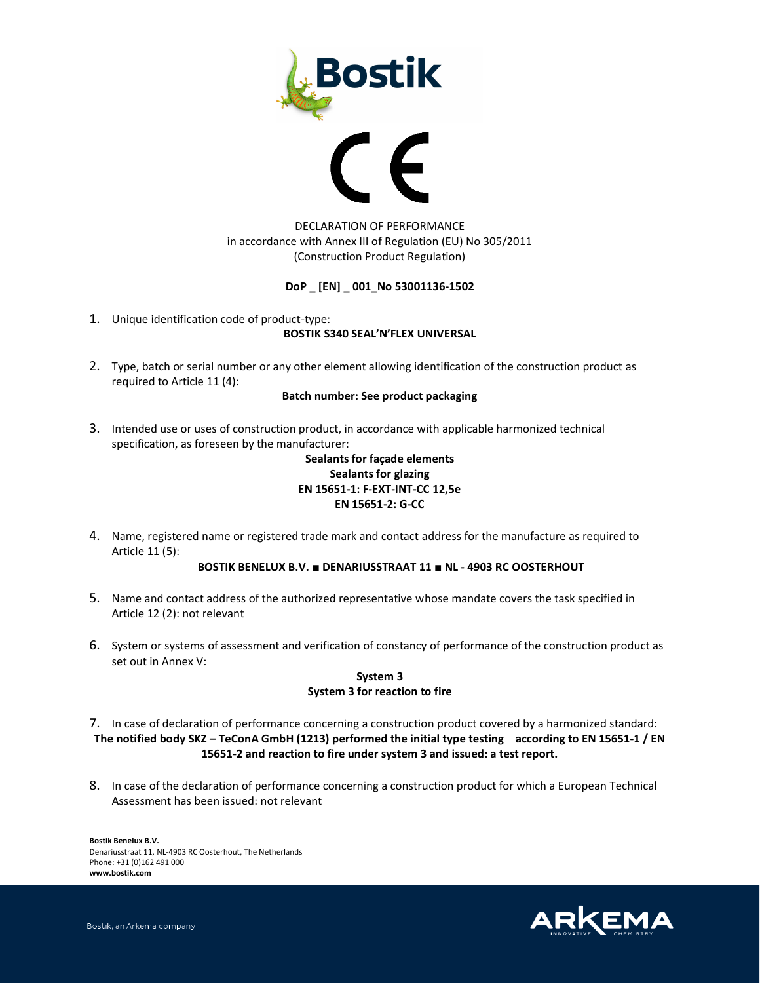



# DECLARATION OF PERFORMANCE in accordance with Annex III of Regulation (EU) No 305/2011 (Construction Product Regulation)

### **DoP \_ [EN] \_ 001\_No 53001136-1502**

1. Unique identification code of product-type:

### **BOSTIK S340 SEAL'N'FLEX UNIVERSAL**

2. Type, batch or serial number or any other element allowing identification of the construction product as required to Article 11 (4):

#### **Batch number: See product packaging**

3. Intended use or uses of construction product, in accordance with applicable harmonized technical specification, as foreseen by the manufacturer:

# **Sealants for façade elements Sealants for glazing EN 15651-1: F-EXT-INT-CC 12,5e EN 15651-2: G-CC**

4. Name, registered name or registered trade mark and contact address for the manufacture as required to Article 11 (5):

### **BOSTIK BENELUX B.V. ■ DENARIUSSTRAAT 11 ■ NL - 4903 RC OOSTERHOUT**

- 5. Name and contact address of the authorized representative whose mandate covers the task specified in Article 12 (2): not relevant
- 6. System or systems of assessment and verification of constancy of performance of the construction product as set out in Annex V:

## **System 3 System 3 for reaction to fire**

7. In case of declaration of performance concerning a construction product covered by a harmonized standard: **The notified body SKZ – TeConA GmbH (1213) performed the initial type testing according to EN 15651-1 / EN 15651-2 and reaction to fire under system 3 and issued: a test report.**

8. In case of the declaration of performance concerning a construction product for which a European Technical Assessment has been issued: not relevant

**Bostik Benelux B.V.**  Denariusstraat 11, NL-4903 RC Oosterhout, The Netherlands Phone: +31 (0)162 491 000 **www.bostik.com** 

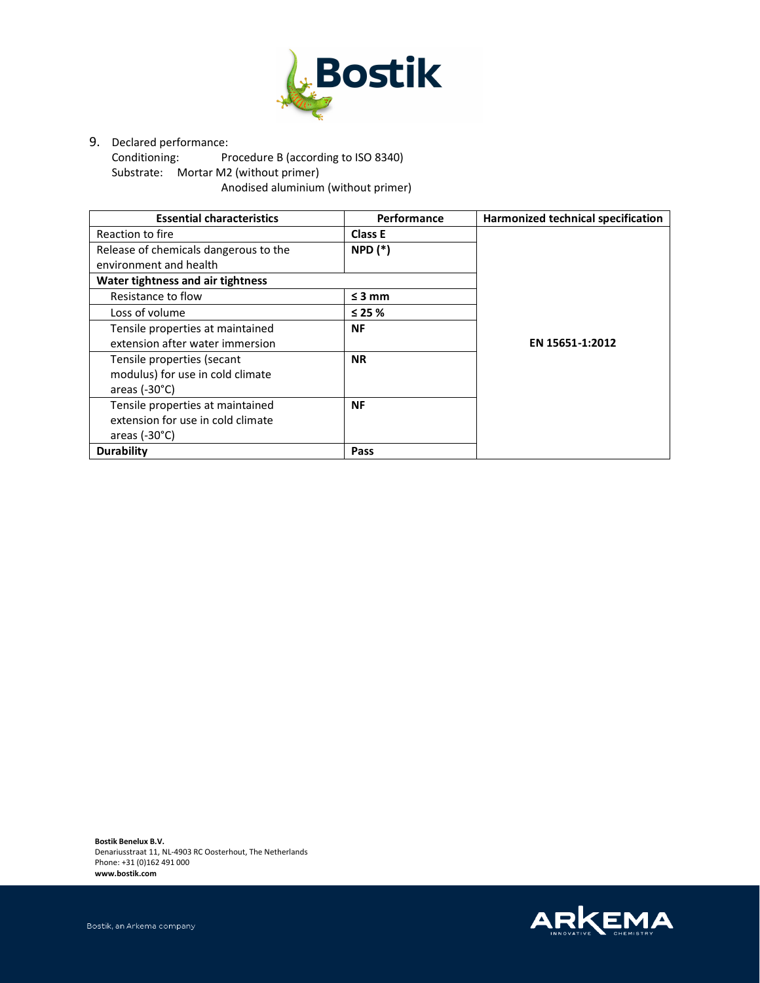

9. Declared performance:<br>Conditioning: Pr

Procedure B (according to ISO 8340) Substrate: Mortar M2 (without primer) Anodised aluminium (without primer)

| <b>Essential characteristics</b>      | Performance    | Harmonized technical specification |
|---------------------------------------|----------------|------------------------------------|
| Reaction to fire                      | <b>Class E</b> |                                    |
| Release of chemicals dangerous to the | $NPD$ $(*)$    |                                    |
| environment and health                |                |                                    |
| Water tightness and air tightness     |                |                                    |
| Resistance to flow                    | $\leq$ 3 mm    |                                    |
| Loss of volume                        | $\leq$ 25 %    |                                    |
| Tensile properties at maintained      | <b>NF</b>      |                                    |
| extension after water immersion       |                | EN 15651-1:2012                    |
| Tensile properties (secant            | <b>NR</b>      |                                    |
| modulus) for use in cold climate      |                |                                    |
| areas $(-30^{\circ}C)$                |                |                                    |
| Tensile properties at maintained      | <b>NF</b>      |                                    |
| extension for use in cold climate     |                |                                    |
| areas $(-30^{\circ}C)$                |                |                                    |
| <b>Durability</b>                     | Pass           |                                    |

**Bostik Benelux B.V.**  Denariusstraat 11, NL-4903 RC Oosterhout, The Netherlands Phone: +31 (0)162 491 000 **www.bostik.com**